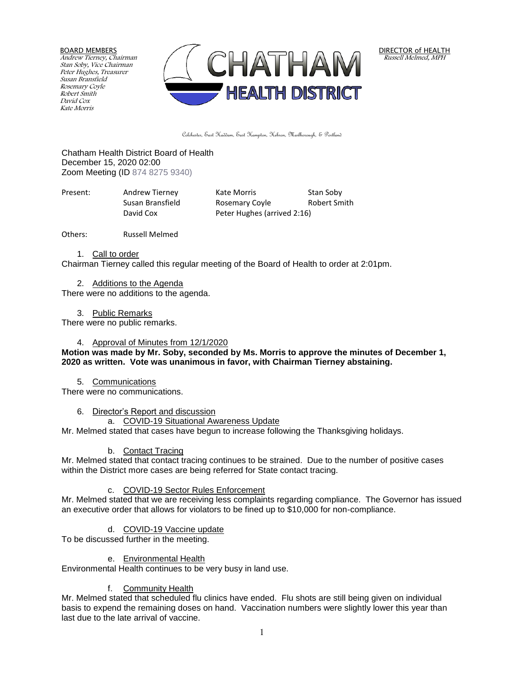BOARD MEMBERS Andrew Tierney, Chairman Stan Soby, Vice Chairman Peter Hughes, Treasurer Susan Bransfield Rosemary Coyle Robert Smith David Cox Kate Morris



DIRECTOR of HEALTH Russell Melmed, MPH

Colchester, East Haddam, East Hampton, Hebron, Marlborough, & Portland

Chatham Health District Board of Health December 15, 2020 02:00 Zoom Meeting (ID 874 8275 9340)

| Present: | Andrew Tierney   | Kate Morris                 | Stan Soby    |
|----------|------------------|-----------------------------|--------------|
|          | Susan Bransfield | Rosemary Coyle              | Robert Smith |
|          | David Cox        | Peter Hughes (arrived 2:16) |              |

Others: Russell Melmed

1. Call to order

Chairman Tierney called this regular meeting of the Board of Health to order at 2:01pm.

2. Additions to the Agenda There were no additions to the agenda.

3. Public Remarks

There were no public remarks.

### 4. Approval of Minutes from 12/1/2020

### **Motion was made by Mr. Soby, seconded by Ms. Morris to approve the minutes of December 1, 2020 as written. Vote was unanimous in favor, with Chairman Tierney abstaining.**

5. Communications There were no communications.

6. Director's Report and discussion

a. COVID-19 Situational Awareness Update

Mr. Melmed stated that cases have begun to increase following the Thanksgiving holidays.

# b. Contact Tracing

Mr. Melmed stated that contact tracing continues to be strained. Due to the number of positive cases within the District more cases are being referred for State contact tracing.

# c. COVID-19 Sector Rules Enforcement

Mr. Melmed stated that we are receiving less complaints regarding compliance. The Governor has issued an executive order that allows for violators to be fined up to \$10,000 for non-compliance.

#### d. COVID-19 Vaccine update

To be discussed further in the meeting.

#### e. Environmental Health

Environmental Health continues to be very busy in land use.

#### f. Community Health

Mr. Melmed stated that scheduled flu clinics have ended. Flu shots are still being given on individual basis to expend the remaining doses on hand. Vaccination numbers were slightly lower this year than last due to the late arrival of vaccine.